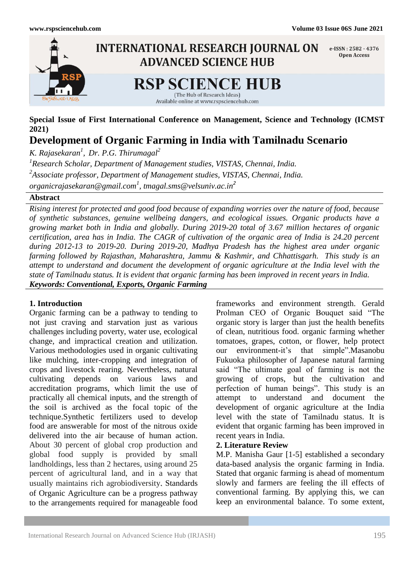

**Special Issue of First International Conference on Management, Science and Technology (ICMST 2021)**

# **Development of Organic Farming in India with Tamilnadu Scenario**

*K. Rajasekaran<sup>1</sup> , Dr. P.G. Thirumagal<sup>2</sup>*

*1 Research Scholar, Department of Management studies, VISTAS, Chennai, India.*

*2 Associate professor, Department of Management studies, VISTAS, Chennai, India.*

*[organicrajasekaran@gmail.com](mailto:organicrajasekaran@gmail.com1)<sup>1</sup> , [tmagal.sms@velsuniv.ac.in](mailto:tmagal.sms@velsuniv.ac.in)<sup>2</sup>*

## **Abstract**

*Rising interest for protected and good food because of expanding worries over the nature of food, because of synthetic substances, genuine wellbeing dangers, and ecological issues. Organic products have a growing market both in India and globally. During 2019-20 total of 3.67 million hectares of organic certification, area has in India. The CAGR of cultivation of the organic area of India is 24.20 percent during 2012-13 to 2019-20. During 2019-20, Madhya Pradesh has the highest area under organic farming followed by Rajasthan, Maharashtra, Jammu & Kashmir, and Chhattisgarh. This study is an attempt to understand and document the development of organic agriculture at the India level with the state of Tamilnadu status. It is evident that organic farming has been improved in recent years in India. Keywords: Conventional, Exports, Organic Farming*

## **1. Introduction**

Organic farming can be a pathway to tending to not just craving and starvation just as various challenges including poverty, water use, ecological change, and impractical creation and utilization. Various methodologies used in organic cultivating like mulching, inter-cropping and integration of crops and livestock rearing. Nevertheless, natural cultivating depends on various laws and accreditation programs, which limit the use of practically all chemical inputs, and the strength of the soil is archived as the focal topic of the technique.Synthetic fertilizers used to develop food are answerable for most of the nitrous oxide delivered into the air because of human action. About 30 percent of global crop production and global food supply is provided by small landholdings, less than 2 hectares, using around 25 percent of agricultural land, and in a way that usually maintains rich agrobiodiversity. Standards of Organic Agriculture can be a progress pathway to the arrangements required for manageable food frameworks and environment strength. Gerald Prolman CEO of Organic Bouquet said "The organic story is larger than just the health benefits of clean, nutritious food. organic farming whether tomatoes, grapes, cotton, or flower, help protect our environment-it's that simple".Masanobu Fukuoka philosopher of Japanese natural farming said "The ultimate goal of farming is not the growing of crops, but the cultivation and perfection of human beings". This study is an attempt to understand and document the development of organic agriculture at the India level with the state of Tamilnadu status. It is evident that organic farming has been improved in recent years in India.

## **2. Literature Review**

M.P. Manisha Gaur [1-5] established a secondary data-based analysis the organic farming in India. Stated that organic farming is ahead of momentum slowly and farmers are feeling the ill effects of conventional farming. By applying this, we can keep an environmental balance. To some extent,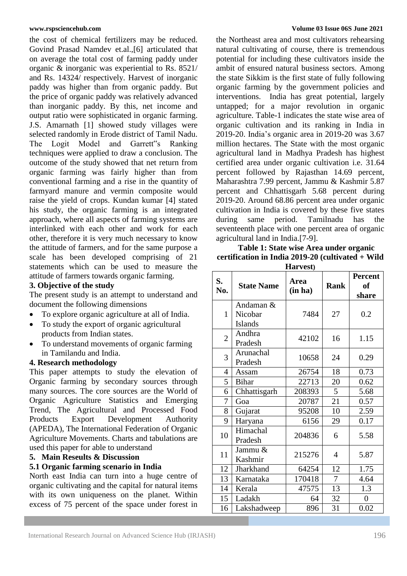the cost of chemical fertilizers may be reduced. Govind Prasad Namdev et.al.,[6] articulated that on average the total cost of farming paddy under organic & inorganic was experiential to Rs. 8521/ and Rs. 14324/ respectively. Harvest of inorganic paddy was higher than from organic paddy. But the price of organic paddy was relatively advanced than inorganic paddy. By this, net income and output ratio were sophisticated in organic farming. J.S. Amarnath [1] showed study villages were selected randomly in Erode district of Tamil Nadu. The Logit Model and Garrett"s Ranking techniques were applied to draw a conclusion. The outcome of the study showed that net return from organic farming was fairly higher than from conventional farming and a rise in the quantity of farmyard manure and vermin composite would raise the yield of crops. Kundan kumar [4] stated his study, the organic farming is an integrated approach, where all aspects of farming systems are interlinked with each other and work for each other, therefore it is very much necessary to know the attitude of farmers, and for the same purpose a scale has been developed comprising of 21 statements which can be used to measure the attitude of farmers towards organic farming.

## **3. Objective of the study**

The present study is an attempt to understand and document the following dimensions

- To explore organic agriculture at all of India.
- To study the export of organic agricultural products from Indian states.
- To understand movements of organic farming in Tamilandu and India.

## **4. Research methodology**

This paper attempts to study the elevation of Organic farming by secondary sources through many sources. The core sources are the World of Organic Agriculture Statistics and Emerging Trend, The Agricultural and Processed Food Products Export Development Authority (APEDA), The International Federation of Organic Agriculture Movements. Charts and tabulations are used this paper for able to understand

## **5. Main Reseults & Discussion**

## **5.1 Organic farming scenario in India**

North east India can turn into a huge centre of organic cultivating and the capital for natural items with its own uniqueness on the planet. Within excess of 75 percent of the space under forest in

#### **[www.rspsciencehub.com](http://www.rspsciencehub.com/) Volume 03 Issue 06S June 2021**

the Northeast area and most cultivators rehearsing natural cultivating of course, there is tremendous potential for including these cultivators inside the ambit of ensured natural business sectors. Among the state Sikkim is the first state of fully following organic farming by the government policies and interventions. India has great potential, largely untapped; for a major revolution in organic agriculture. Table-1 indicates the state wise area of organic cultivation and its ranking in India in 2019-20. India's organic area in 2019-20 was 3.67 million hectares. The State with the most organic agricultural land in Madhya Pradesh has highest certified area under organic cultivation i.e. 31.64 percent followed by Rajasthan 14.69 percent, Maharashtra 7.99 percent, Jammu & Kashmir 5.87 percent and Chhattisgarh 5.68 percent during 2019-20. Around 68.86 percent area under organic cultivation in India is covered by these five states during same period. Tamilnadu has the seventeenth place with one percent area of organic agricultural land in India.[7-9].

### **Table 1: State wise Area under organic certification in India 2019-20 (cultivated + Wild Harvest)**

|                |                                        | 1141 VWJ        |                |                                      |
|----------------|----------------------------------------|-----------------|----------------|--------------------------------------|
| S.<br>No.      | <b>State Name</b>                      | Area<br>(in ha) | <b>Rank</b>    | <b>Percent</b><br><b>of</b><br>share |
| $\mathbf{1}$   | Andaman &<br>Nicobar<br><b>Islands</b> | 7484            | 27             | 0.2                                  |
| $\overline{2}$ | Andhra<br>Pradesh                      | 42102           | 16             | 1.15                                 |
| 3              | Arunachal<br>Pradesh                   | 10658           | 24             | 0.29                                 |
| 4              | Assam                                  | 26754           | 18             | 0.73                                 |
| 5              | <b>Bihar</b>                           | 22713           | 20             | 0.62                                 |
| 6              | Chhattisgarh                           | 208393          | 5              | 5.68                                 |
| 7              | Goa                                    | 20787           | 21             | 0.57                                 |
| 8              | Gujarat                                | 95208           | 10             | 2.59                                 |
| 9              | Haryana                                | 6156            | 29             | 0.17                                 |
| 10             | Himachal<br>Pradesh                    | 204836          | 6              | 5.58                                 |
| 11             | Jammu &<br>Kashmir                     | 215276          | 4              | 5.87                                 |
| 12             | Jharkhand                              | 64254           | 12             | 1.75                                 |
| 13             | Karnataka                              | 170418          | $\overline{7}$ | 4.64                                 |
| 14             | Kerala                                 | 47575           | 13             | 1.3                                  |
| 15             | Ladakh                                 | 64              | 32             | $\boldsymbol{0}$                     |
| 16             | Lakshadweep                            | 896             | 31             | 0.02                                 |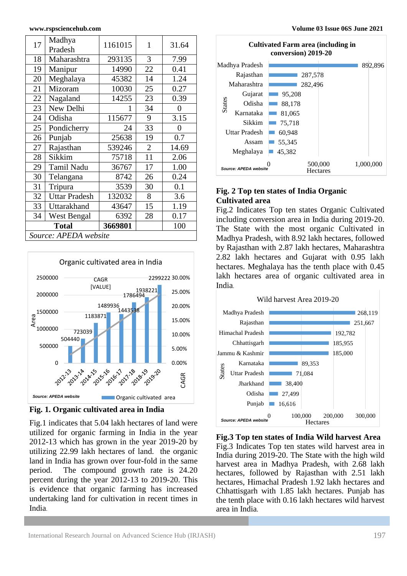| 17                    | Madhya<br>Pradesh    | 1161015 | 1              | 31.64          |  |  |  |
|-----------------------|----------------------|---------|----------------|----------------|--|--|--|
| 18                    | Maharashtra          | 293135  | 3              | 7.99           |  |  |  |
| 19                    | Manipur              | 14990   | 22             | 0.41           |  |  |  |
| 20                    | Meghalaya            | 45382   | 14             | 1.24           |  |  |  |
| 21                    | Mizoram              | 10030   | 25             | 0.27           |  |  |  |
| 22                    | Nagaland             | 14255   | 23             | 0.39           |  |  |  |
| 23                    | New Delhi            | 1       | 34             | $\overline{0}$ |  |  |  |
| 24                    | Odisha               | 115677  | 9              | 3.15           |  |  |  |
| 25                    | Pondicherry          | 24      | 33             | $\overline{0}$ |  |  |  |
| 26                    | Punjab               | 25638   | 19             | 0.7            |  |  |  |
| 27                    | Rajasthan            | 539246  | $\overline{2}$ | 14.69          |  |  |  |
| 28                    | Sikkim               | 75718   | 11             | 2.06           |  |  |  |
| 29                    | <b>Tamil Nadu</b>    | 36767   | 17             | 1.00           |  |  |  |
| 30                    | Telangana            | 8742    | 26             | 0.24           |  |  |  |
| 31                    | Tripura              | 3539    | 30             | 0.1            |  |  |  |
| 32                    | <b>Uttar Pradesh</b> | 132032  | 8              | 3.6            |  |  |  |
| 33                    | Uttarakhand          | 43647   | 15             | 1.19           |  |  |  |
| 34                    | <b>West Bengal</b>   | 6392    | 28             | 0.17           |  |  |  |
| <b>Total</b>          |                      | 3669801 |                | 100            |  |  |  |
| Source: APEDA website |                      |         |                |                |  |  |  |





Fig.1 indicates that 5.04 lakh hectares of land were utilized for organic farming in India in the year 2012-13 which has grown in the year 2019-20 by utilizing 22.99 lakh hectares of land. the organic land in India has grown over four-fold in the same period. The compound growth rate is 24.20 percent during the year 2012-13 to 2019-20. This is evidence that organic farming has increased undertaking land for cultivation in recent times in India.



## **Fig. 2 Top ten states of India Organic Cultivated area**

Fig.2 Indicates Top ten states Organic Cultivated including conversion area in India during 2019-20. The State with the most organic Cultivated in Madhya Pradesh, with 8.92 lakh hectares, followed by Rajasthan with 2.87 lakh hectares, Maharashtra 2.82 lakh hectares and Gujarat with 0.95 lakh hectares. Meghalaya has the tenth place with 0.45 lakh hectares area of organic cultivated area in India.



**Fig.3 Top ten states of India Wild harvest Area**  Fig.3 Indicates Top ten states wild harvest area in India during 2019-20. The State with the high wild harvest area in Madhya Pradesh, with 2.68 lakh hectares, followed by Rajasthan with 2.51 lakh hectares, Himachal Pradesh 1.92 lakh hectares and Chhattisgarh with 1.85 lakh hectares. Punjab has the tenth place with 0.16 lakh hectares wild harvest area in India.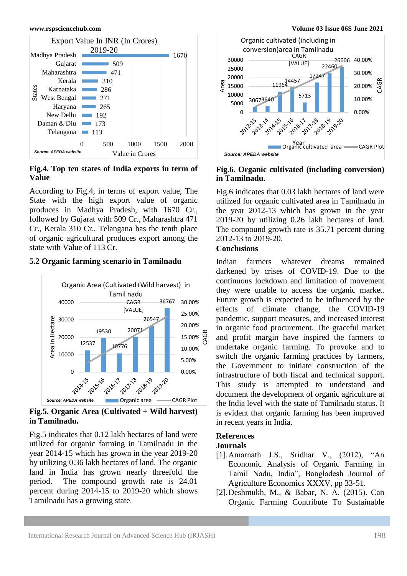

**Fig.4. Top ten states of India exports in term of Value**

According to Fig.4, in terms of export value, The State with the high export value of organic produces in Madhya Pradesh, with 1670 Cr., followed by Gujarat with 509 Cr., Maharashtra 471 Cr., Kerala 310 Cr., Telangana has the tenth place of organic agricultural produces export among the state with Value of 113 Cr.

## **5.2 Organic farming scenario in Tamilnadu**



**Fig.5. Organic Area (Cultivated + Wild harvest) in Tamilnadu.**

Fig.5 indicates that 0.12 lakh hectares of land were utilized for organic farming in Tamilnadu in the year 2014-15 which has grown in the year 2019-20 by utilizing 0.36 lakh hectares of land. The organic land in India has grown nearly threefold the period. The compound growth rate is 24.01 percent during 2014-15 to 2019-20 which shows Tamilnadu has a growing state.



## **Fig.6. Organic cultivated (including conversion) in Tamilnadu.**

Fig.6 indicates that 0.03 lakh hectares of land were utilized for organic cultivated area in Tamilnadu in the year 2012-13 which has grown in the year 2019-20 by utilizing 0.26 lakh hectares of land. The compound growth rate is 35.71 percent during 2012-13 to 2019-20.

## **Conclusions**

Indian farmers whatever dreams remained darkened by crises of COVID-19. Due to the continuous lockdown and limitation of movement they were unable to access the organic market. Future growth is expected to be influenced by the effects of climate change, the COVID-19 pandemic, support measures, and increased interest in organic food procurement. The graceful market and profit margin have inspired the farmers to undertake organic farming. To provoke and to switch the organic farming practices by farmers, the Government to initiate construction of the infrastructure of both fiscal and technical support. This study is attempted to understand and document the development of organic agriculture at the India level with the state of Tamilnadu status. It is evident that organic farming has been improved in recent years in India.

## **References**

## **Journals**

- [1].Amarnath J.S., Sridhar V., (2012), "An Economic Analysis of Organic Farming in Tamil Nadu, India", Bangladesh Journal of Agriculture Economics XXXV, pp 33-51.
- [2].Deshmukh, M., & Babar, N. A. (2015). Can Organic Farming Contribute To Sustainable